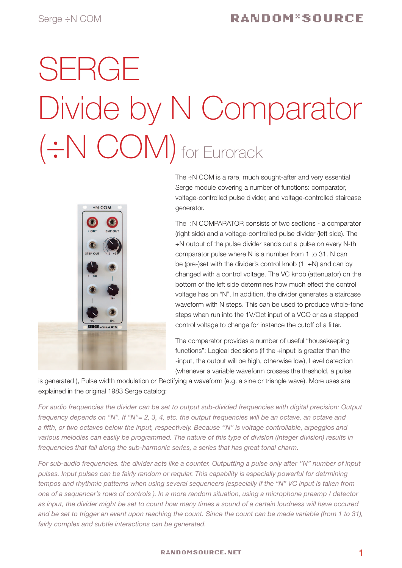# SERGE Divide by N Comparator (÷N COM) for Eurorack



The ÷N COM is a rare, much sought-after and very essential Serge module covering a number of functions: comparator, voltage-controlled pulse divider, and voltage-controlled staircase generator.

The ÷N COMPARATOR consists of two sections - a comparator (right side) and a voltage-controlled pulse divider (left side). The ÷N output of the pulse divider sends out a pulse on every N-th comparator pulse where N is a number from 1 to 31. N can be (pre-)set with the divider's control knob  $(1 \div N)$  and can by changed with a control voltage. The VC knob (attenuator) on the bottom of the left side determines how much effect the control voltage has on "N". In addition, the divider generates a staircase waveform with N steps. This can be used to produce whole-tone steps when run into the 1V/Oct input of a VCO or as a stepped control voltage to change for instance the cutoff of a filter.

The comparator provides a number of useful "housekeeping functions": Logical decisions (if the +input is greater than the -input, the output will be high, otherwise low), Level detection (whenever a variable waveform crosses the theshold, a pulse

is generated ), Pulse width modulation or Rectifying a waveform (e.g. a sine or triangle wave). More uses are explained in the original 1983 Serge catalog:

*For audio frequencies the divider can be set to output sub-divided frequencies with digital precision: Output frequency depends on "N". If "N"= 2, 3, 4, etc. the output frequencies will be an octave, an octave and a fifth, or two octaves below the input, respectively. Because ''N'' is voltage controllable, arpeggios and various melodies can easily be programmed. The nature of this type of divislon (Integer division) results in frequencles that fall along the sub-harmonic series, a series that has great tonal charm.* 

*For sub-audio frequencies. the divider acts like a counter. Outputting a pulse only after ''N'' number of input pulses. Input pulses can be fairly random or reqular. This capability is especially powerful for detrmining tempos and rhythmic patterns when using several sequencers (especlally if the "N" VC input is taken from one of a sequencer's rows of controls ). ln a more random situation, using a microphone preamp / detector as input, the divider might be set to count how many times a sound of a certain loudness will have occured and be set to trigger an event upon reaching the count. Since the count can be made variable (from 1 to 31), fairly complex and subtle interactions can be generated.*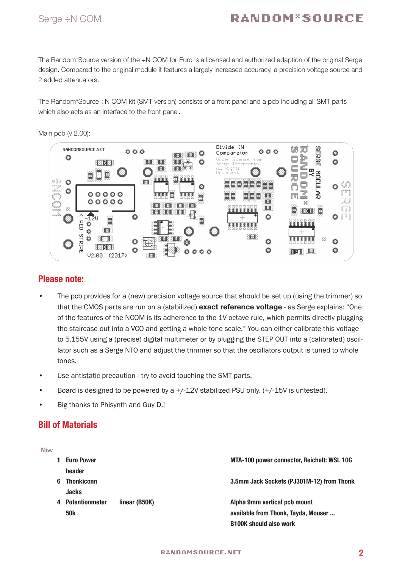### Serge ÷N COM

## RANDOM\*SOURCE

The Random\*Source version of the ÷N COM for Euro is a licensed and authorized adaption of the original Serge design. Compared to the original module it features a largely increased accuracy, a precision voltage source and 2 added attenuators.

The Random\*Source ÷N COM kit (SMT version) consists of a front panel and a pcb including all SMT parts which also acts as an interface to the front panel.



#### Main pcb (v 2.00):

#### Please note:

- The pcb provides for a (new) precision voltage source that should be set up (using the trimmer) so that the CMOS parts are run on a (stabilized) exact reference voltage - as Serge explains: "One of the features of the NCOM is its adherence to the 1V octave rule, which permits directly plugging the staircase out into a VCO and getting a whole tone scale." You can either calibrate this voltage to 5.155V using a (precise) digital multimeter or by plugging the STEP OUT into a (calibrated) oscillator such as a Serge NTO and adjust the trimmer so that the oscillators output is tuned to whole tones.
- • Use antistatic precaution try to avoid touching the SMT parts.
- Board is designed to be powered by a  $+/-12V$  stabilized PSU only.  $(+/-15V$  is untested).
- Big thanks to Phisynth and Guy D.!

#### Bill of Materials

| <b>Misc</b> |   |                       |               |                                            |
|-------------|---|-----------------------|---------------|--------------------------------------------|
|             |   | <b>Euro Power</b>     |               | MTA-100 power connector, Reichelt: WSL 10G |
|             |   | header                |               |                                            |
|             | 6 | <b>Thonkiconn</b>     |               | 3.5mm Jack Sockets (PJ301M-12) from Thonk  |
|             |   | <b>Jacks</b>          |               |                                            |
|             | 4 | <b>Potentionmeter</b> | linear (B50K) | Alpha 9mm vertical pcb mount               |
|             |   | <b>50k</b>            |               | available from Thonk, Tayda, Mouser        |
|             |   |                       |               | <b>B100K should also work</b>              |
|             |   |                       |               |                                            |